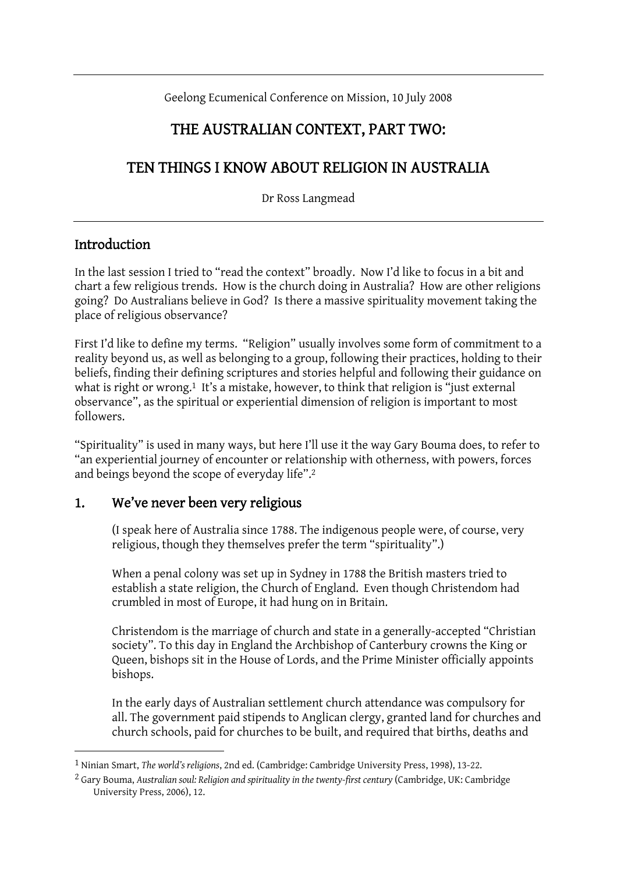Geelong Ecumenical Conference on Mission, 10 July 2008

## THE AUSTRALIAN CONTEXT, PART TWO:

# TEN THINGS I KNOW ABOUT RELIGION IN AUSTRALIA

Dr Ross Langmead

#### Introduction

 $\overline{a}$ 

In the last session I tried to "read the context" broadly. Now I'd like to focus in a bit and chart a few religious trends. How is the church doing in Australia? How are other religions going? Do Australians believe in God? Is there a massive spirituality movement taking the place of religious observance?

First I'd like to define my terms. "Religion" usually involves some form of commitment to a reality beyond us, as well as belonging to a group, following their practices, holding to their beliefs, finding their defining scriptures and stories helpful and following their guidance on what is right or wrong.<sup>1</sup> It's a mistake, however, to think that religion is "just external observance", as the spiritual or experiential dimension of religion is important to most followers.

"Spirituality" is used in many ways, but here I'll use it the way Gary Bouma does, to refer to "an experiential journey of encounter or relationship with otherness, with powers, forces and beings beyond the scope of everyday life".2

#### 1. We've never been very religious

(I speak here of Australia since 1788. The indigenous people were, of course, very religious, though they themselves prefer the term "spirituality".)

When a penal colony was set up in Sydney in 1788 the British masters tried to establish a state religion, the Church of England. Even though Christendom had crumbled in most of Europe, it had hung on in Britain.

Christendom is the marriage of church and state in a generally-accepted "Christian society". To this day in England the Archbishop of Canterbury crowns the King or Queen, bishops sit in the House of Lords, and the Prime Minister officially appoints bishops.

In the early days of Australian settlement church attendance was compulsory for all. The government paid stipends to Anglican clergy, granted land for churches and church schools, paid for churches to be built, and required that births, deaths and

<sup>1</sup> Ninian Smart, *The world's religions*, 2nd ed. (Cambridge: Cambridge University Press, 1998), 13-22.

<sup>2</sup> Gary Bouma, *Australian soul: Religion and spirituality in the twenty-first century* (Cambridge, UK: Cambridge University Press, 2006), 12.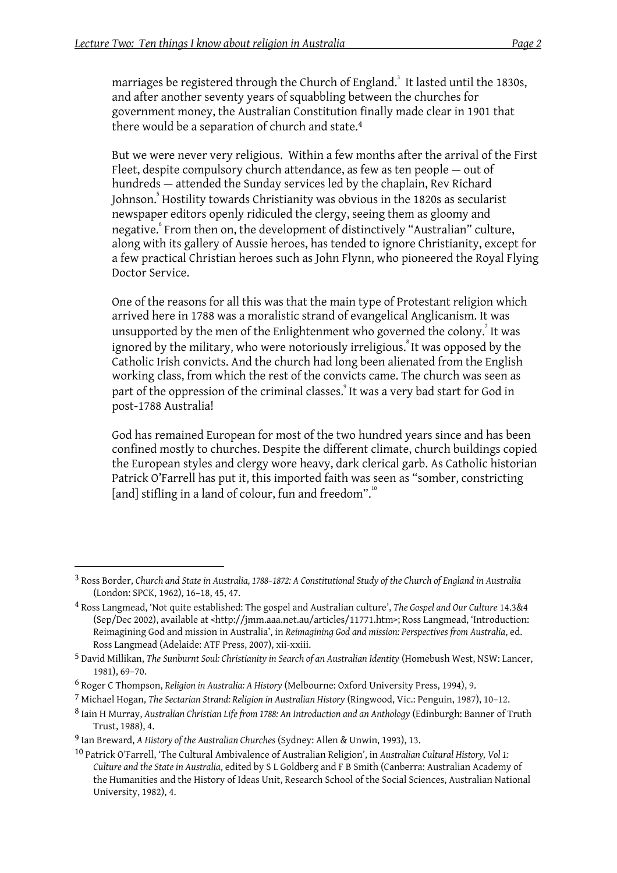marriages be registered through the Church of England. $^{\rm 3}$  It lasted until the 1830s, and after another seventy years of squabbling between the churches for government money, the Australian Constitution finally made clear in 1901 that there would be a separation of church and state.4

But we were never very religious. Within a few months after the arrival of the First Fleet, despite compulsory church attendance, as few as ten people — out of hundreds — attended the Sunday services led by the chaplain, Rev Richard Johnson.<sup>5</sup> Hostility towards Christianity was obvious in the 1820s as secularist newspaper editors openly ridiculed the clergy, seeing them as gloomy and negative.<sup>6</sup> From then on, the development of distinctively "Australian" culture, along with its gallery of Aussie heroes, has tended to ignore Christianity, except for a few practical Christian heroes such as John Flynn, who pioneered the Royal Flying Doctor Service.

One of the reasons for all this was that the main type of Protestant religion which arrived here in 1788 was a moralistic strand of evangelical Anglicanism. It was unsupported by the men of the Enlightenment who governed the colony. $\vec{\ }$  It was ignored by the military, who were notoriously irreligious. $^{\text{8}}$  It was opposed by the Catholic Irish convicts. And the church had long been alienated from the English working class, from which the rest of the convicts came. The church was seen as part of the oppression of the criminal classes.<sup>°</sup> It was a very bad start for God in post-1788 Australia!

God has remained European for most of the two hundred years since and has been confined mostly to churches. Despite the different climate, church buildings copied the European styles and clergy wore heavy, dark clerical garb. As Catholic historian Patrick O'Farrell has put it, this imported faith was seen as "somber, constricting [and] stifling in a land of colour, fun and freedom".<sup>10</sup>

<sup>3</sup> Ross Border, *Church and State in Australia, 1788–1872: A Constitutional Study of the Church of England in Australia* (London: SPCK, 1962), 16–18, 45, 47.

<sup>4</sup> Ross Langmead, 'Not quite established: The gospel and Australian culture', *The Gospel and Our Culture* 14.3&4 (Sep/Dec 2002), available at <http://jmm.aaa.net.au/articles/11771.htm>; Ross Langmead, 'Introduction: Reimagining God and mission in Australia', in *Reimagining God and mission: Perspectives from Australia*, ed. Ross Langmead (Adelaide: ATF Press, 2007), xii-xxiii.

<sup>5</sup> David Millikan, *The Sunburnt Soul: Christianity in Search of an Australian Identity* (Homebush West, NSW: Lancer, 1981), 69–70.

<sup>6</sup> Roger C Thompson, *Religion in Australia: A History* (Melbourne: Oxford University Press, 1994), 9.

<sup>7</sup> Michael Hogan, *The Sectarian Strand: Religion in Australian History* (Ringwood, Vic.: Penguin, 1987), 10–12.

<sup>8</sup> Iain H Murray, *Australian Christian Life from 1788: An Introduction and an Anthology* (Edinburgh: Banner of Truth Trust, 1988), 4.

<sup>9</sup> Ian Breward, *A History of the Australian Churches* (Sydney: Allen & Unwin, 1993), 13.

<sup>10</sup> Patrick O'Farrell, 'The Cultural Ambivalence of Australian Religion', in *Australian Cultural History, Vol 1: Culture and the State in Australia*, edited by S L Goldberg and F B Smith (Canberra: Australian Academy of the Humanities and the History of Ideas Unit, Research School of the Social Sciences, Australian National University, 1982), 4.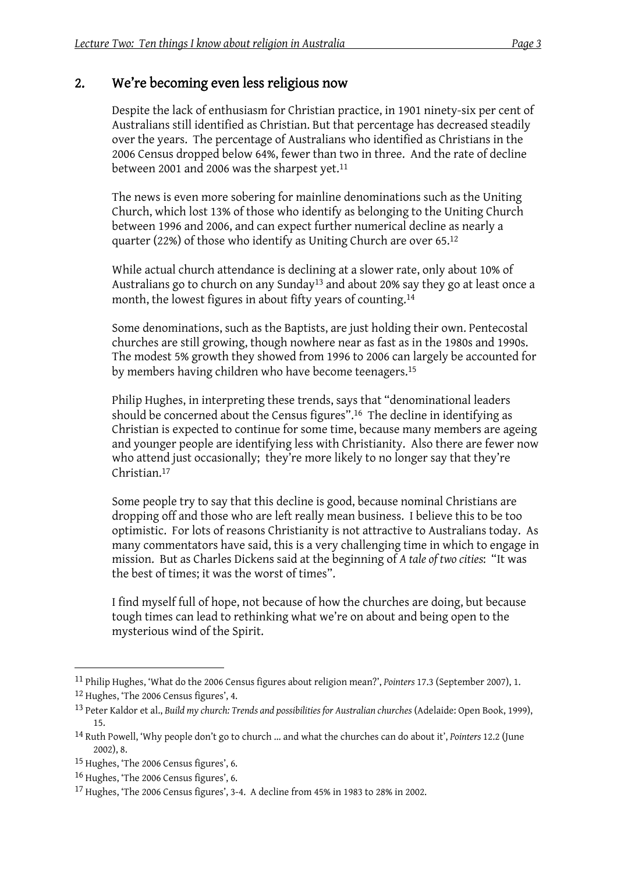#### 2. We're becoming even less religious now

Despite the lack of enthusiasm for Christian practice, in 1901 ninety-six per cent of Australians still identified as Christian. But that percentage has decreased steadily over the years. The percentage of Australians who identified as Christians in the 2006 Census dropped below 64%, fewer than two in three. And the rate of decline between 2001 and 2006 was the sharpest yet.<sup>11</sup>

The news is even more sobering for mainline denominations such as the Uniting Church, which lost 13% of those who identify as belonging to the Uniting Church between 1996 and 2006, and can expect further numerical decline as nearly a quarter (22%) of those who identify as Uniting Church are over 65.12

While actual church attendance is declining at a slower rate, only about 10% of Australians go to church on any Sunday<sup>13</sup> and about 20% say they go at least once a month, the lowest figures in about fifty years of counting.<sup>14</sup>

Some denominations, such as the Baptists, are just holding their own. Pentecostal churches are still growing, though nowhere near as fast as in the 1980s and 1990s. The modest 5% growth they showed from 1996 to 2006 can largely be accounted for by members having children who have become teenagers.15

Philip Hughes, in interpreting these trends, says that "denominational leaders should be concerned about the Census figures".16 The decline in identifying as Christian is expected to continue for some time, because many members are ageing and younger people are identifying less with Christianity. Also there are fewer now who attend just occasionally; they're more likely to no longer say that they're Christian.17

Some people try to say that this decline is good, because nominal Christians are dropping off and those who are left really mean business. I believe this to be too optimistic. For lots of reasons Christianity is not attractive to Australians today. As many commentators have said, this is a very challenging time in which to engage in mission. But as Charles Dickens said at the beginning of *A tale of two cities*: "It was the best of times; it was the worst of times".

I find myself full of hope, not because of how the churches are doing, but because tough times can lead to rethinking what we're on about and being open to the mysterious wind of the Spirit.

<sup>11</sup> Philip Hughes, 'What do the 2006 Census figures about religion mean?', *Pointers* 17.3 (September 2007), 1. 12 Hughes, 'The 2006 Census figures', 4.

<sup>13</sup> Peter Kaldor et al., *Build my church: Trends and possibilities for Australian churches* (Adelaide: Open Book, 1999), 15.

<sup>14</sup> Ruth Powell, 'Why people don't go to church ... and what the churches can do about it', *Pointers* 12.2 (June 2002), 8.

<sup>15</sup> Hughes, 'The 2006 Census figures', 6.

<sup>16</sup> Hughes, 'The 2006 Census figures', 6.

<sup>17</sup> Hughes, 'The 2006 Census figures', 3-4. A decline from 45% in 1983 to 28% in 2002.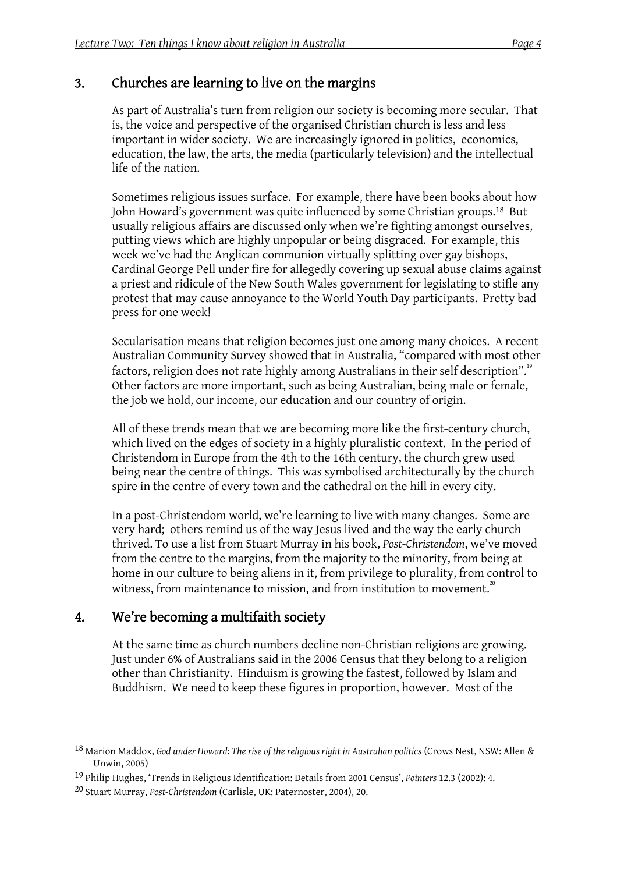### 3. Churches are learning to live on the margins

As part of Australia's turn from religion our society is becoming more secular. That is, the voice and perspective of the organised Christian church is less and less important in wider society. We are increasingly ignored in politics, economics, education, the law, the arts, the media (particularly television) and the intellectual life of the nation.

Sometimes religious issues surface. For example, there have been books about how John Howard's government was quite influenced by some Christian groups.18 But usually religious affairs are discussed only when we're fighting amongst ourselves, putting views which are highly unpopular or being disgraced. For example, this week we've had the Anglican communion virtually splitting over gay bishops, Cardinal George Pell under fire for allegedly covering up sexual abuse claims against a priest and ridicule of the New South Wales government for legislating to stifle any protest that may cause annoyance to the World Youth Day participants. Pretty bad press for one week!

Secularisation means that religion becomes just one among many choices. A recent Australian Community Survey showed that in Australia, "compared with most other factors, religion does not rate highly among Australians in their self description".<sup>19</sup> Other factors are more important, such as being Australian, being male or female, the job we hold, our income, our education and our country of origin.

All of these trends mean that we are becoming more like the first-century church, which lived on the edges of society in a highly pluralistic context. In the period of Christendom in Europe from the 4th to the 16th century, the church grew used being near the centre of things. This was symbolised architecturally by the church spire in the centre of every town and the cathedral on the hill in every city.

In a post-Christendom world, we're learning to live with many changes. Some are very hard; others remind us of the way Jesus lived and the way the early church thrived. To use a list from Stuart Murray in his book, *Post-Christendom*, we've moved from the centre to the margins, from the majority to the minority, from being at home in our culture to being aliens in it, from privilege to plurality, from control to witness, from maintenance to mission, and from institution to movement.<sup>20</sup>

### 4. We're becoming a multifaith society

 $\overline{a}$ 

At the same time as church numbers decline non-Christian religions are growing. Just under 6% of Australians said in the 2006 Census that they belong to a religion other than Christianity. Hinduism is growing the fastest, followed by Islam and Buddhism. We need to keep these figures in proportion, however. Most of the

<sup>18</sup> Marion Maddox, *God under Howard: The rise of the religious right in Australian politics* (Crows Nest, NSW: Allen & Unwin, 2005)

<sup>19</sup> Philip Hughes, 'Trends in Religious Identification: Details from 2001 Census', *Pointers* 12.3 (2002): 4.

<sup>20</sup> Stuart Murray, *Post-Christendom* (Carlisle, UK: Paternoster, 2004), 20.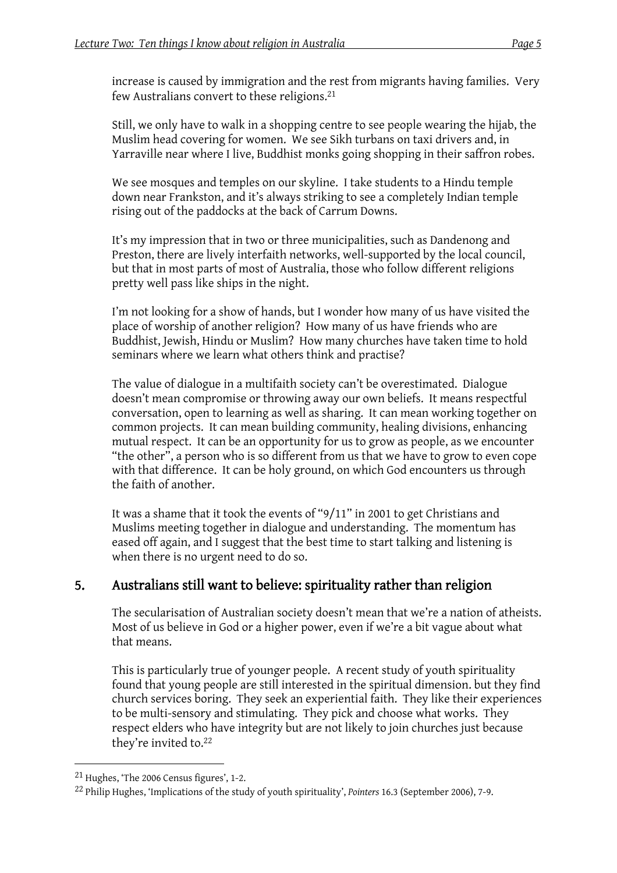increase is caused by immigration and the rest from migrants having families. Very few Australians convert to these religions.21

Still, we only have to walk in a shopping centre to see people wearing the hijab, the Muslim head covering for women. We see Sikh turbans on taxi drivers and, in Yarraville near where I live, Buddhist monks going shopping in their saffron robes.

We see mosques and temples on our skyline. I take students to a Hindu temple down near Frankston, and it's always striking to see a completely Indian temple rising out of the paddocks at the back of Carrum Downs.

It's my impression that in two or three municipalities, such as Dandenong and Preston, there are lively interfaith networks, well-supported by the local council, but that in most parts of most of Australia, those who follow different religions pretty well pass like ships in the night.

I'm not looking for a show of hands, but I wonder how many of us have visited the place of worship of another religion? How many of us have friends who are Buddhist, Jewish, Hindu or Muslim? How many churches have taken time to hold seminars where we learn what others think and practise?

The value of dialogue in a multifaith society can't be overestimated. Dialogue doesn't mean compromise or throwing away our own beliefs. It means respectful conversation, open to learning as well as sharing. It can mean working together on common projects. It can mean building community, healing divisions, enhancing mutual respect. It can be an opportunity for us to grow as people, as we encounter "the other", a person who is so different from us that we have to grow to even cope with that difference. It can be holy ground, on which God encounters us through the faith of another.

It was a shame that it took the events of "9/11" in 2001 to get Christians and Muslims meeting together in dialogue and understanding. The momentum has eased off again, and I suggest that the best time to start talking and listening is when there is no urgent need to do so.

### 5. Australians still want to believe: spirituality rather than religion

The secularisation of Australian society doesn't mean that we're a nation of atheists. Most of us believe in God or a higher power, even if we're a bit vague about what that means.

This is particularly true of younger people. A recent study of youth spirituality found that young people are still interested in the spiritual dimension. but they find church services boring. They seek an experiential faith. They like their experiences to be multi-sensory and stimulating. They pick and choose what works. They respect elders who have integrity but are not likely to join churches just because they're invited to.22

<sup>21</sup> Hughes, 'The 2006 Census figures', 1-2.

<sup>22</sup> Philip Hughes, 'Implications of the study of youth spirituality', *Pointers* 16.3 (September 2006), 7-9.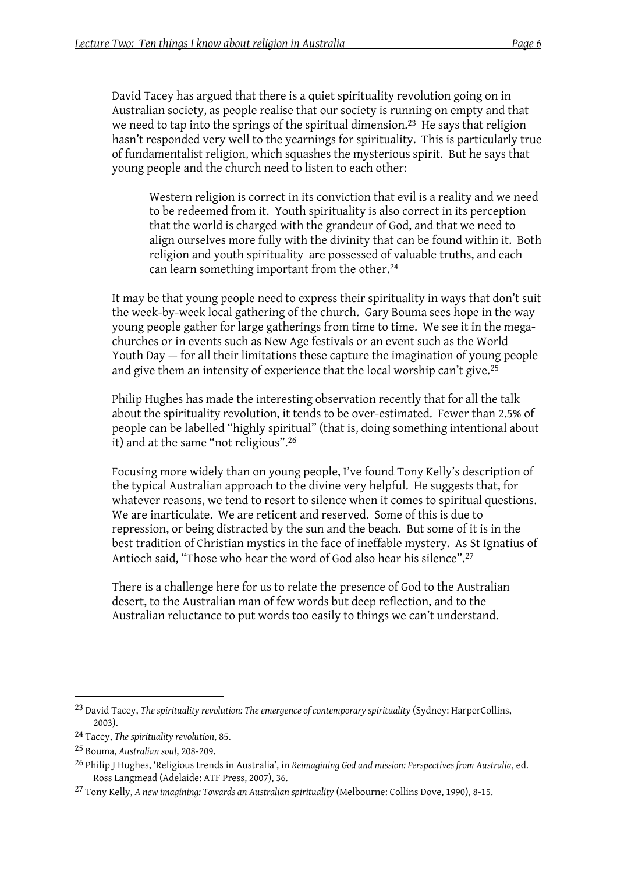David Tacey has argued that there is a quiet spirituality revolution going on in Australian society, as people realise that our society is running on empty and that we need to tap into the springs of the spiritual dimension.23 He says that religion hasn't responded very well to the yearnings for spirituality. This is particularly true of fundamentalist religion, which squashes the mysterious spirit. But he says that young people and the church need to listen to each other:

Western religion is correct in its conviction that evil is a reality and we need to be redeemed from it. Youth spirituality is also correct in its perception that the world is charged with the grandeur of God, and that we need to align ourselves more fully with the divinity that can be found within it. Both religion and youth spirituality are possessed of valuable truths, and each can learn something important from the other.24

It may be that young people need to express their spirituality in ways that don't suit the week-by-week local gathering of the church. Gary Bouma sees hope in the way young people gather for large gatherings from time to time. We see it in the megachurches or in events such as New Age festivals or an event such as the World Youth Day — for all their limitations these capture the imagination of young people and give them an intensity of experience that the local worship can't give.25

Philip Hughes has made the interesting observation recently that for all the talk about the spirituality revolution, it tends to be over-estimated. Fewer than 2.5% of people can be labelled "highly spiritual" (that is, doing something intentional about it) and at the same "not religious".26

Focusing more widely than on young people, I've found Tony Kelly's description of the typical Australian approach to the divine very helpful. He suggests that, for whatever reasons, we tend to resort to silence when it comes to spiritual questions. We are inarticulate. We are reticent and reserved. Some of this is due to repression, or being distracted by the sun and the beach. But some of it is in the best tradition of Christian mystics in the face of ineffable mystery. As St Ignatius of Antioch said, "Those who hear the word of God also hear his silence".27

There is a challenge here for us to relate the presence of God to the Australian desert, to the Australian man of few words but deep reflection, and to the Australian reluctance to put words too easily to things we can't understand.

<sup>23</sup> David Tacey, *The spirituality revolution: The emergence of contemporary spirituality* (Sydney: HarperCollins, 2003).

<sup>24</sup> Tacey, *The spirituality revolution*, 85.

<sup>25</sup> Bouma, *Australian soul*, 208-209.

<sup>26</sup> Philip J Hughes, 'Religious trends in Australia', in *Reimagining God and mission: Perspectives from Australia*, ed. Ross Langmead (Adelaide: ATF Press, 2007), 36.

<sup>27</sup> Tony Kelly, *A new imagining: Towards an Australian spirituality* (Melbourne: Collins Dove, 1990), 8-15.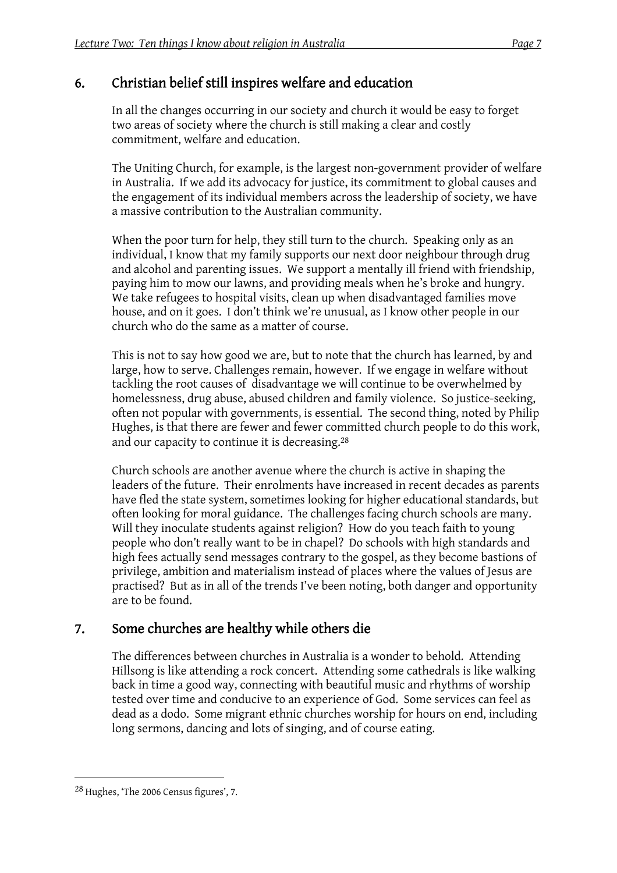### 6. Christian belief still inspires welfare and education

In all the changes occurring in our society and church it would be easy to forget two areas of society where the church is still making a clear and costly commitment, welfare and education.

The Uniting Church, for example, is the largest non-government provider of welfare in Australia. If we add its advocacy for justice, its commitment to global causes and the engagement of its individual members across the leadership of society, we have a massive contribution to the Australian community.

When the poor turn for help, they still turn to the church. Speaking only as an individual, I know that my family supports our next door neighbour through drug and alcohol and parenting issues. We support a mentally ill friend with friendship, paying him to mow our lawns, and providing meals when he's broke and hungry. We take refugees to hospital visits, clean up when disadvantaged families move house, and on it goes. I don't think we're unusual, as I know other people in our church who do the same as a matter of course.

This is not to say how good we are, but to note that the church has learned, by and large, how to serve. Challenges remain, however. If we engage in welfare without tackling the root causes of disadvantage we will continue to be overwhelmed by homelessness, drug abuse, abused children and family violence. So justice-seeking, often not popular with governments, is essential. The second thing, noted by Philip Hughes, is that there are fewer and fewer committed church people to do this work, and our capacity to continue it is decreasing.28

Church schools are another avenue where the church is active in shaping the leaders of the future. Their enrolments have increased in recent decades as parents have fled the state system, sometimes looking for higher educational standards, but often looking for moral guidance. The challenges facing church schools are many. Will they inoculate students against religion? How do you teach faith to young people who don't really want to be in chapel? Do schools with high standards and high fees actually send messages contrary to the gospel, as they become bastions of privilege, ambition and materialism instead of places where the values of Jesus are practised? But as in all of the trends I've been noting, both danger and opportunity are to be found.

### 7. Some churches are healthy while others die

The differences between churches in Australia is a wonder to behold. Attending Hillsong is like attending a rock concert. Attending some cathedrals is like walking back in time a good way, connecting with beautiful music and rhythms of worship tested over time and conducive to an experience of God. Some services can feel as dead as a dodo. Some migrant ethnic churches worship for hours on end, including long sermons, dancing and lots of singing, and of course eating.

<sup>28</sup> Hughes, 'The 2006 Census figures', 7.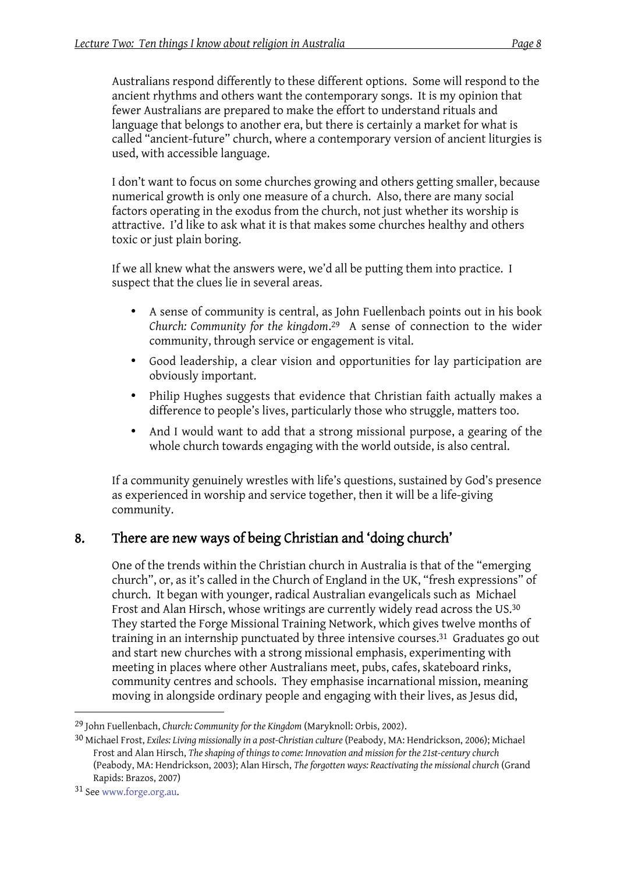Australians respond differently to these different options. Some will respond to the ancient rhythms and others want the contemporary songs. It is my opinion that fewer Australians are prepared to make the effort to understand rituals and language that belongs to another era, but there is certainly a market for what is called "ancient-future" church, where a contemporary version of ancient liturgies is used, with accessible language.

I don't want to focus on some churches growing and others getting smaller, because numerical growth is only one measure of a church. Also, there are many social factors operating in the exodus from the church, not just whether its worship is attractive. I'd like to ask what it is that makes some churches healthy and others toxic or just plain boring.

If we all knew what the answers were, we'd all be putting them into practice. I suspect that the clues lie in several areas.

- A sense of community is central, as John Fuellenbach points out in his book *Church: Community for the kingdom*. <sup>29</sup> A sense of connection to the wider community, through service or engagement is vital.
- Good leadership, a clear vision and opportunities for lay participation are obviously important.
- Philip Hughes suggests that evidence that Christian faith actually makes a difference to people's lives, particularly those who struggle, matters too.
- And I would want to add that a strong missional purpose, a gearing of the whole church towards engaging with the world outside, is also central.

If a community genuinely wrestles with life's questions, sustained by God's presence as experienced in worship and service together, then it will be a life-giving community.

### 8. There are new ways of being Christian and 'doing church'

One of the trends within the Christian church in Australia is that of the "emerging church", or, as it's called in the Church of England in the UK, "fresh expressions" of church. It began with younger, radical Australian evangelicals such as Michael Frost and Alan Hirsch, whose writings are currently widely read across the US.30 They started the Forge Missional Training Network, which gives twelve months of training in an internship punctuated by three intensive courses.31 Graduates go out and start new churches with a strong missional emphasis, experimenting with meeting in places where other Australians meet, pubs, cafes, skateboard rinks, community centres and schools. They emphasise incarnational mission, meaning moving in alongside ordinary people and engaging with their lives, as Jesus did,

<sup>29</sup> John Fuellenbach, *Church: Community for the Kingdom* (Maryknoll: Orbis, 2002).

<sup>30</sup> Michael Frost, *Exiles: Living missionally in a post-Christian culture* (Peabody, MA: Hendrickson, 2006); Michael Frost and Alan Hirsch, *The shaping of things to come: Innovation and mission for the 21st-century church* (Peabody, MA: Hendrickson, 2003); Alan Hirsch, *The forgotten ways: Reactivating the missional church* (Grand Rapids: Brazos, 2007)

<sup>31</sup> See www.forge.org.au.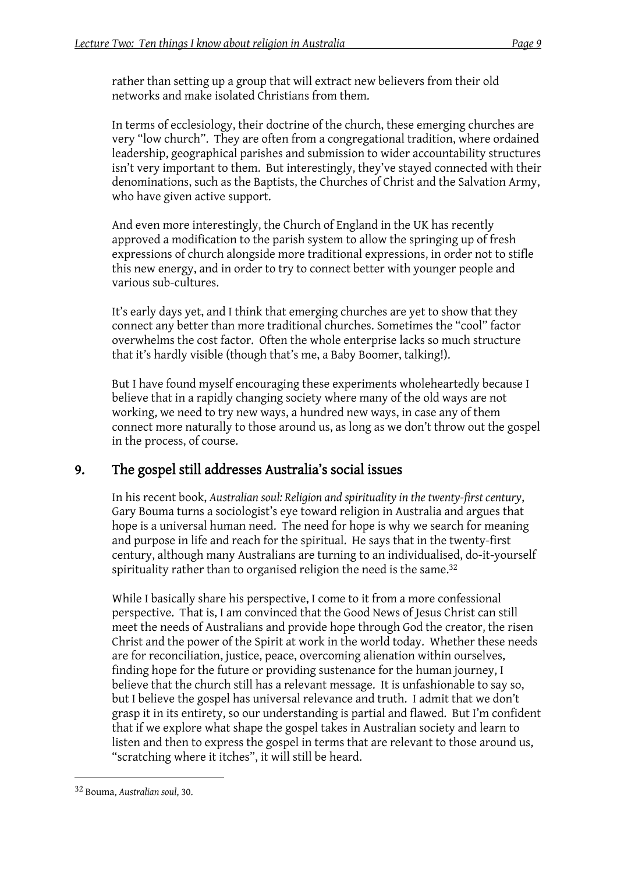rather than setting up a group that will extract new believers from their old networks and make isolated Christians from them.

In terms of ecclesiology, their doctrine of the church, these emerging churches are very "low church". They are often from a congregational tradition, where ordained leadership, geographical parishes and submission to wider accountability structures isn't very important to them. But interestingly, they've stayed connected with their denominations, such as the Baptists, the Churches of Christ and the Salvation Army, who have given active support.

And even more interestingly, the Church of England in the UK has recently approved a modification to the parish system to allow the springing up of fresh expressions of church alongside more traditional expressions, in order not to stifle this new energy, and in order to try to connect better with younger people and various sub-cultures.

It's early days yet, and I think that emerging churches are yet to show that they connect any better than more traditional churches. Sometimes the "cool" factor overwhelms the cost factor. Often the whole enterprise lacks so much structure that it's hardly visible (though that's me, a Baby Boomer, talking!).

But I have found myself encouraging these experiments wholeheartedly because I believe that in a rapidly changing society where many of the old ways are not working, we need to try new ways, a hundred new ways, in case any of them connect more naturally to those around us, as long as we don't throw out the gospel in the process, of course.

### 9. The gospel still addresses Australia's social issues

In his recent book, *Australian soul: Religion and spirituality in the twenty-first century*, Gary Bouma turns a sociologist's eye toward religion in Australia and argues that hope is a universal human need. The need for hope is why we search for meaning and purpose in life and reach for the spiritual. He says that in the twenty-first century, although many Australians are turning to an individualised, do-it-yourself spirituality rather than to organised religion the need is the same.<sup>32</sup>

While I basically share his perspective, I come to it from a more confessional perspective. That is, I am convinced that the Good News of Jesus Christ can still meet the needs of Australians and provide hope through God the creator, the risen Christ and the power of the Spirit at work in the world today. Whether these needs are for reconciliation, justice, peace, overcoming alienation within ourselves, finding hope for the future or providing sustenance for the human journey, I believe that the church still has a relevant message. It is unfashionable to say so, but I believe the gospel has universal relevance and truth. I admit that we don't grasp it in its entirety, so our understanding is partial and flawed. But I'm confident that if we explore what shape the gospel takes in Australian society and learn to listen and then to express the gospel in terms that are relevant to those around us, "scratching where it itches", it will still be heard.

<sup>32</sup> Bouma, *Australian soul*, 30.